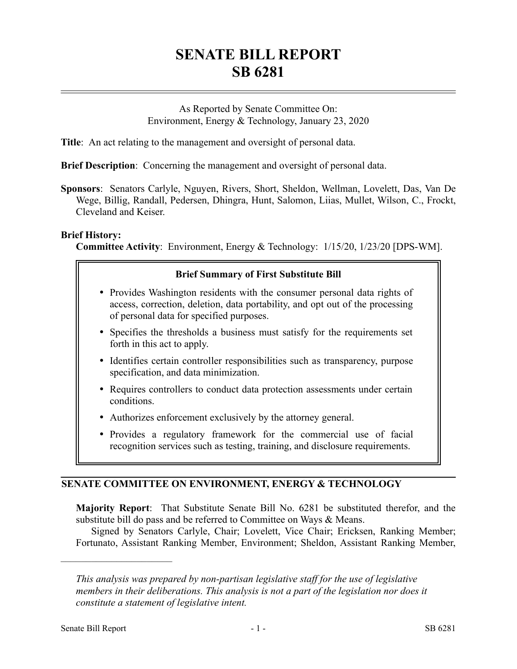# **SENATE BILL REPORT SB 6281**

As Reported by Senate Committee On: Environment, Energy & Technology, January 23, 2020

**Title**: An act relating to the management and oversight of personal data.

**Brief Description**: Concerning the management and oversight of personal data.

**Sponsors**: Senators Carlyle, Nguyen, Rivers, Short, Sheldon, Wellman, Lovelett, Das, Van De Wege, Billig, Randall, Pedersen, Dhingra, Hunt, Salomon, Liias, Mullet, Wilson, C., Frockt, Cleveland and Keiser.

#### **Brief History:**

**Committee Activity**: Environment, Energy & Technology: 1/15/20, 1/23/20 [DPS-WM].

## **Brief Summary of First Substitute Bill**

- Provides Washington residents with the consumer personal data rights of access, correction, deletion, data portability, and opt out of the processing of personal data for specified purposes.
- Specifies the thresholds a business must satisfy for the requirements set forth in this act to apply.
- Identifies certain controller responsibilities such as transparency, purpose specification, and data minimization.
- Requires controllers to conduct data protection assessments under certain conditions.
- Authorizes enforcement exclusively by the attorney general.
- Provides a regulatory framework for the commercial use of facial recognition services such as testing, training, and disclosure requirements.

## **SENATE COMMITTEE ON ENVIRONMENT, ENERGY & TECHNOLOGY**

**Majority Report**: That Substitute Senate Bill No. 6281 be substituted therefor, and the substitute bill do pass and be referred to Committee on Ways & Means.

Signed by Senators Carlyle, Chair; Lovelett, Vice Chair; Ericksen, Ranking Member; Fortunato, Assistant Ranking Member, Environment; Sheldon, Assistant Ranking Member,

––––––––––––––––––––––

*This analysis was prepared by non-partisan legislative staff for the use of legislative members in their deliberations. This analysis is not a part of the legislation nor does it constitute a statement of legislative intent.*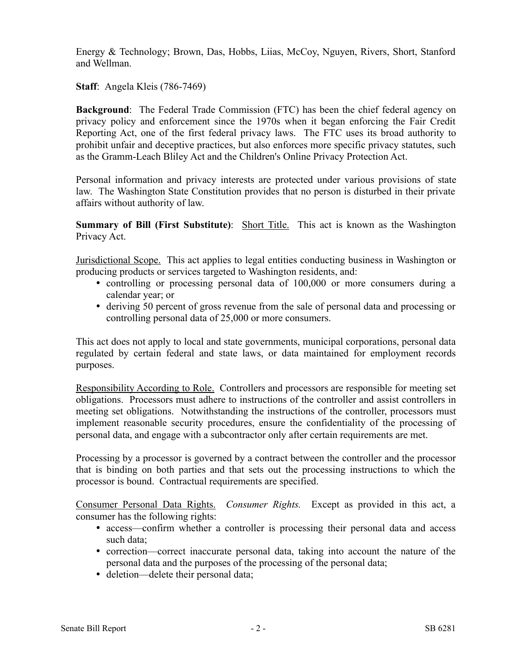Energy & Technology; Brown, Das, Hobbs, Liias, McCoy, Nguyen, Rivers, Short, Stanford and Wellman.

**Staff**: Angela Kleis (786-7469)

**Background**: The Federal Trade Commission (FTC) has been the chief federal agency on privacy policy and enforcement since the 1970s when it began enforcing the Fair Credit Reporting Act, one of the first federal privacy laws. The FTC uses its broad authority to prohibit unfair and deceptive practices, but also enforces more specific privacy statutes, such as the Gramm-Leach Bliley Act and the Children's Online Privacy Protection Act.

Personal information and privacy interests are protected under various provisions of state law. The Washington State Constitution provides that no person is disturbed in their private affairs without authority of law.

**Summary of Bill (First Substitute):** Short Title. This act is known as the Washington Privacy Act.

Jurisdictional Scope. This act applies to legal entities conducting business in Washington or producing products or services targeted to Washington residents, and:

- controlling or processing personal data of 100,000 or more consumers during a calendar year; or
- deriving 50 percent of gross revenue from the sale of personal data and processing or controlling personal data of 25,000 or more consumers.

This act does not apply to local and state governments, municipal corporations, personal data regulated by certain federal and state laws, or data maintained for employment records purposes.

Responsibility According to Role. Controllers and processors are responsible for meeting set obligations. Processors must adhere to instructions of the controller and assist controllers in meeting set obligations. Notwithstanding the instructions of the controller, processors must implement reasonable security procedures, ensure the confidentiality of the processing of personal data, and engage with a subcontractor only after certain requirements are met.

Processing by a processor is governed by a contract between the controller and the processor that is binding on both parties and that sets out the processing instructions to which the processor is bound. Contractual requirements are specified.

Consumer Personal Data Rights. *Consumer Rights.* Except as provided in this act, a consumer has the following rights:

- access—confirm whether a controller is processing their personal data and access such data;
- correction—correct inaccurate personal data, taking into account the nature of the personal data and the purposes of the processing of the personal data;
- deletion—delete their personal data;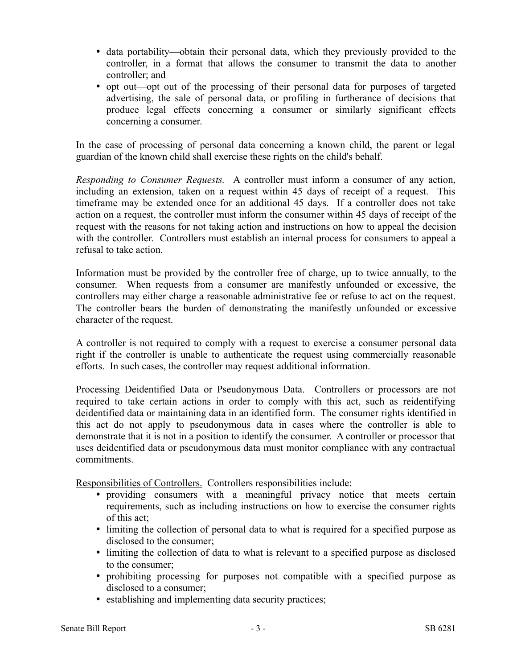- data portability—obtain their personal data, which they previously provided to the controller, in a format that allows the consumer to transmit the data to another controller; and
- opt out—opt out of the processing of their personal data for purposes of targeted advertising, the sale of personal data, or profiling in furtherance of decisions that produce legal effects concerning a consumer or similarly significant effects concerning a consumer.

In the case of processing of personal data concerning a known child, the parent or legal guardian of the known child shall exercise these rights on the child's behalf.

*Responding to Consumer Requests.* A controller must inform a consumer of any action, including an extension, taken on a request within 45 days of receipt of a request. This timeframe may be extended once for an additional 45 days. If a controller does not take action on a request, the controller must inform the consumer within 45 days of receipt of the request with the reasons for not taking action and instructions on how to appeal the decision with the controller. Controllers must establish an internal process for consumers to appeal a refusal to take action.

Information must be provided by the controller free of charge, up to twice annually, to the consumer. When requests from a consumer are manifestly unfounded or excessive, the controllers may either charge a reasonable administrative fee or refuse to act on the request. The controller bears the burden of demonstrating the manifestly unfounded or excessive character of the request.

A controller is not required to comply with a request to exercise a consumer personal data right if the controller is unable to authenticate the request using commercially reasonable efforts. In such cases, the controller may request additional information.

Processing Deidentified Data or Pseudonymous Data. Controllers or processors are not required to take certain actions in order to comply with this act, such as reidentifying deidentified data or maintaining data in an identified form. The consumer rights identified in this act do not apply to pseudonymous data in cases where the controller is able to demonstrate that it is not in a position to identify the consumer. A controller or processor that uses deidentified data or pseudonymous data must monitor compliance with any contractual commitments.

Responsibilities of Controllers. Controllers responsibilities include:

- providing consumers with a meaningful privacy notice that meets certain requirements, such as including instructions on how to exercise the consumer rights of this act;
- limiting the collection of personal data to what is required for a specified purpose as disclosed to the consumer;
- limiting the collection of data to what is relevant to a specified purpose as disclosed to the consumer;
- prohibiting processing for purposes not compatible with a specified purpose as disclosed to a consumer;
- establishing and implementing data security practices;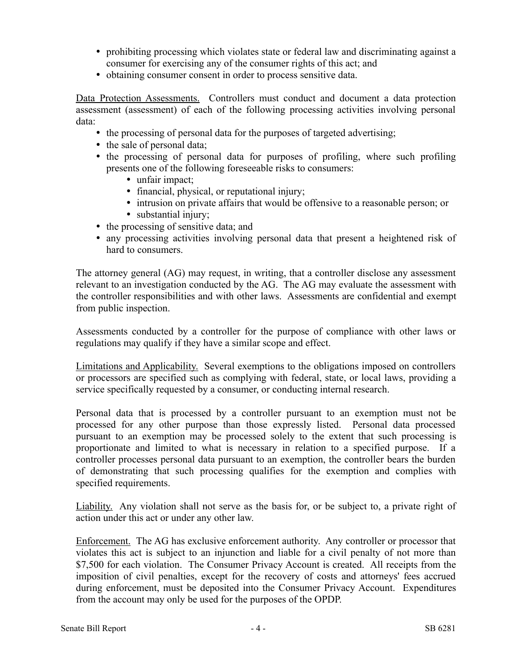- prohibiting processing which violates state or federal law and discriminating against a consumer for exercising any of the consumer rights of this act; and
- obtaining consumer consent in order to process sensitive data.

Data Protection Assessments. Controllers must conduct and document a data protection assessment (assessment) of each of the following processing activities involving personal data:

- the processing of personal data for the purposes of targeted advertising;
- the sale of personal data;
- the processing of personal data for purposes of profiling, where such profiling presents one of the following foreseeable risks to consumers:
	- unfair impact;
	- financial, physical, or reputational injury;
	- intrusion on private affairs that would be offensive to a reasonable person; or
	- substantial injury;
- the processing of sensitive data; and
- any processing activities involving personal data that present a heightened risk of hard to consumers.

The attorney general (AG) may request, in writing, that a controller disclose any assessment relevant to an investigation conducted by the AG. The AG may evaluate the assessment with the controller responsibilities and with other laws. Assessments are confidential and exempt from public inspection.

Assessments conducted by a controller for the purpose of compliance with other laws or regulations may qualify if they have a similar scope and effect.

Limitations and Applicability. Several exemptions to the obligations imposed on controllers or processors are specified such as complying with federal, state, or local laws, providing a service specifically requested by a consumer, or conducting internal research.

Personal data that is processed by a controller pursuant to an exemption must not be processed for any other purpose than those expressly listed. Personal data processed pursuant to an exemption may be processed solely to the extent that such processing is proportionate and limited to what is necessary in relation to a specified purpose. If a controller processes personal data pursuant to an exemption, the controller bears the burden of demonstrating that such processing qualifies for the exemption and complies with specified requirements.

Liability. Any violation shall not serve as the basis for, or be subject to, a private right of action under this act or under any other law.

Enforcement. The AG has exclusive enforcement authority. Any controller or processor that violates this act is subject to an injunction and liable for a civil penalty of not more than \$7,500 for each violation. The Consumer Privacy Account is created. All receipts from the imposition of civil penalties, except for the recovery of costs and attorneys' fees accrued during enforcement, must be deposited into the Consumer Privacy Account. Expenditures from the account may only be used for the purposes of the OPDP.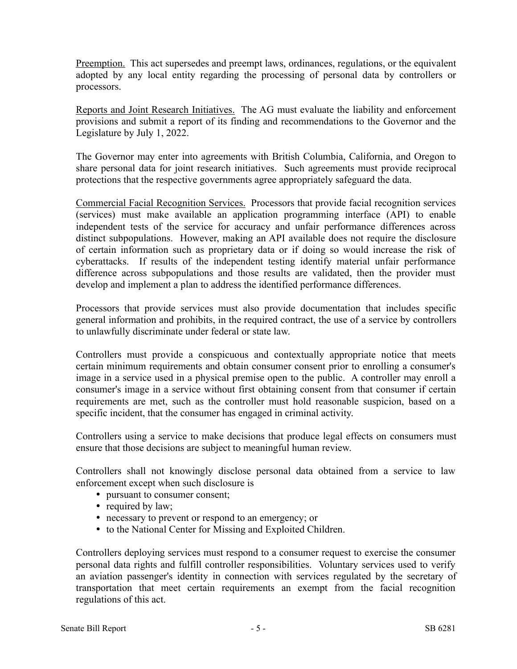Preemption. This act supersedes and preempt laws, ordinances, regulations, or the equivalent adopted by any local entity regarding the processing of personal data by controllers or processors.

Reports and Joint Research Initiatives. The AG must evaluate the liability and enforcement provisions and submit a report of its finding and recommendations to the Governor and the Legislature by July 1, 2022.

The Governor may enter into agreements with British Columbia, California, and Oregon to share personal data for joint research initiatives. Such agreements must provide reciprocal protections that the respective governments agree appropriately safeguard the data.

Commercial Facial Recognition Services. Processors that provide facial recognition services (services) must make available an application programming interface (API) to enable independent tests of the service for accuracy and unfair performance differences across distinct subpopulations. However, making an API available does not require the disclosure of certain information such as proprietary data or if doing so would increase the risk of cyberattacks. If results of the independent testing identify material unfair performance difference across subpopulations and those results are validated, then the provider must develop and implement a plan to address the identified performance differences.

Processors that provide services must also provide documentation that includes specific general information and prohibits, in the required contract, the use of a service by controllers to unlawfully discriminate under federal or state law.

Controllers must provide a conspicuous and contextually appropriate notice that meets certain minimum requirements and obtain consumer consent prior to enrolling a consumer's image in a service used in a physical premise open to the public. A controller may enroll a consumer's image in a service without first obtaining consent from that consumer if certain requirements are met, such as the controller must hold reasonable suspicion, based on a specific incident, that the consumer has engaged in criminal activity.

Controllers using a service to make decisions that produce legal effects on consumers must ensure that those decisions are subject to meaningful human review.

Controllers shall not knowingly disclose personal data obtained from a service to law enforcement except when such disclosure is

- pursuant to consumer consent;
- required by law;
- necessary to prevent or respond to an emergency; or
- to the National Center for Missing and Exploited Children.

Controllers deploying services must respond to a consumer request to exercise the consumer personal data rights and fulfill controller responsibilities. Voluntary services used to verify an aviation passenger's identity in connection with services regulated by the secretary of transportation that meet certain requirements an exempt from the facial recognition regulations of this act.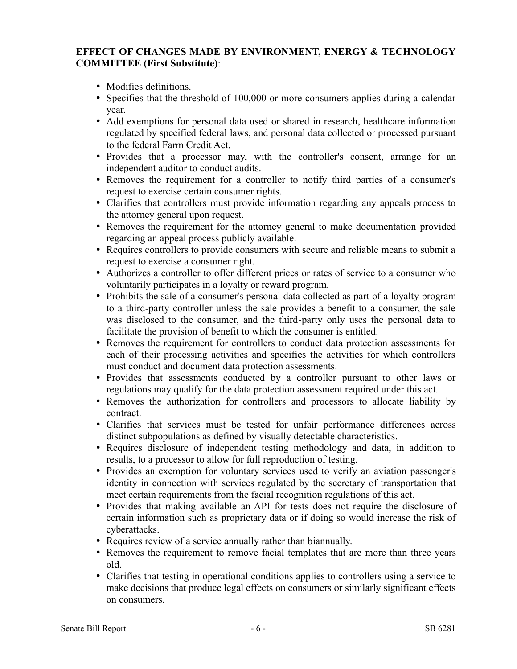## **EFFECT OF CHANGES MADE BY ENVIRONMENT, ENERGY & TECHNOLOGY COMMITTEE (First Substitute)**:

- Modifies definitions.
- Specifies that the threshold of 100,000 or more consumers applies during a calendar year.
- Add exemptions for personal data used or shared in research, healthcare information regulated by specified federal laws, and personal data collected or processed pursuant to the federal Farm Credit Act.
- Provides that a processor may, with the controller's consent, arrange for an independent auditor to conduct audits.
- Removes the requirement for a controller to notify third parties of a consumer's request to exercise certain consumer rights.
- Clarifies that controllers must provide information regarding any appeals process to the attorney general upon request.
- Removes the requirement for the attorney general to make documentation provided regarding an appeal process publicly available.
- Requires controllers to provide consumers with secure and reliable means to submit a request to exercise a consumer right.
- Authorizes a controller to offer different prices or rates of service to a consumer who voluntarily participates in a loyalty or reward program.
- Prohibits the sale of a consumer's personal data collected as part of a loyalty program to a third-party controller unless the sale provides a benefit to a consumer, the sale was disclosed to the consumer, and the third-party only uses the personal data to facilitate the provision of benefit to which the consumer is entitled.
- Removes the requirement for controllers to conduct data protection assessments for each of their processing activities and specifies the activities for which controllers must conduct and document data protection assessments.
- Provides that assessments conducted by a controller pursuant to other laws or regulations may qualify for the data protection assessment required under this act.
- Removes the authorization for controllers and processors to allocate liability by contract.
- Clarifies that services must be tested for unfair performance differences across distinct subpopulations as defined by visually detectable characteristics.
- Requires disclosure of independent testing methodology and data, in addition to results, to a processor to allow for full reproduction of testing.
- Provides an exemption for voluntary services used to verify an aviation passenger's identity in connection with services regulated by the secretary of transportation that meet certain requirements from the facial recognition regulations of this act.
- Provides that making available an API for tests does not require the disclosure of certain information such as proprietary data or if doing so would increase the risk of cyberattacks.
- Requires review of a service annually rather than biannually.
- Removes the requirement to remove facial templates that are more than three years old.
- Clarifies that testing in operational conditions applies to controllers using a service to make decisions that produce legal effects on consumers or similarly significant effects on consumers.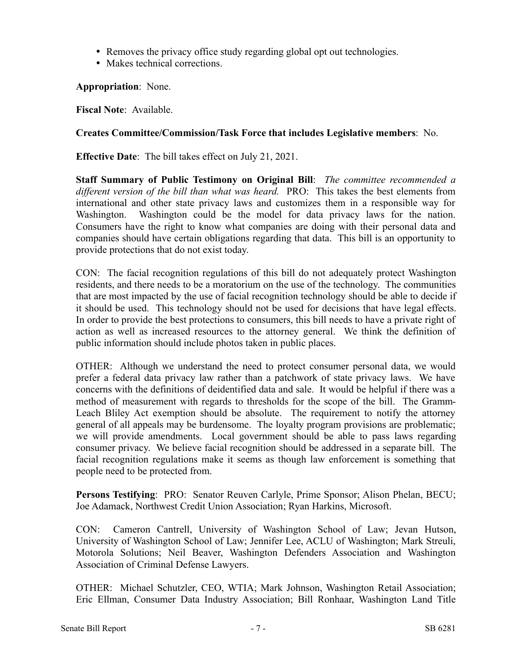- Removes the privacy office study regarding global opt out technologies.
- Makes technical corrections.

**Appropriation**: None.

**Fiscal Note**: Available.

#### **Creates Committee/Commission/Task Force that includes Legislative members**: No.

**Effective Date**: The bill takes effect on July 21, 2021.

**Staff Summary of Public Testimony on Original Bill**: *The committee recommended a different version of the bill than what was heard.* PRO: This takes the best elements from international and other state privacy laws and customizes them in a responsible way for Washington. Washington could be the model for data privacy laws for the nation. Consumers have the right to know what companies are doing with their personal data and companies should have certain obligations regarding that data. This bill is an opportunity to provide protections that do not exist today.

CON: The facial recognition regulations of this bill do not adequately protect Washington residents, and there needs to be a moratorium on the use of the technology. The communities that are most impacted by the use of facial recognition technology should be able to decide if it should be used. This technology should not be used for decisions that have legal effects. In order to provide the best protections to consumers, this bill needs to have a private right of action as well as increased resources to the attorney general. We think the definition of public information should include photos taken in public places.

OTHER: Although we understand the need to protect consumer personal data, we would prefer a federal data privacy law rather than a patchwork of state privacy laws. We have concerns with the definitions of deidentified data and sale. It would be helpful if there was a method of measurement with regards to thresholds for the scope of the bill. The Gramm-Leach Bliley Act exemption should be absolute. The requirement to notify the attorney general of all appeals may be burdensome. The loyalty program provisions are problematic; we will provide amendments. Local government should be able to pass laws regarding consumer privacy. We believe facial recognition should be addressed in a separate bill. The facial recognition regulations make it seems as though law enforcement is something that people need to be protected from.

**Persons Testifying**: PRO: Senator Reuven Carlyle, Prime Sponsor; Alison Phelan, BECU; Joe Adamack, Northwest Credit Union Association; Ryan Harkins, Microsoft.

CON: Cameron Cantrell, University of Washington School of Law; Jevan Hutson, University of Washington School of Law; Jennifer Lee, ACLU of Washington; Mark Streuli, Motorola Solutions; Neil Beaver, Washington Defenders Association and Washington Association of Criminal Defense Lawyers.

OTHER: Michael Schutzler, CEO, WTIA; Mark Johnson, Washington Retail Association; Eric Ellman, Consumer Data Industry Association; Bill Ronhaar, Washington Land Title